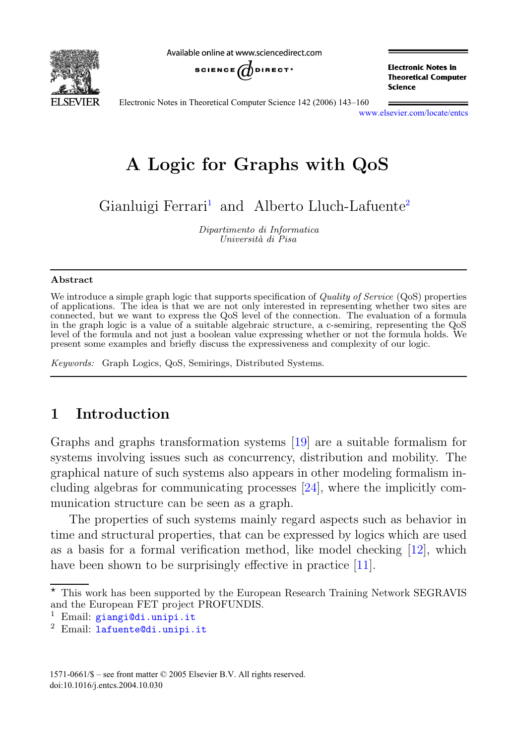

Available online at www.sciencedirect.com



**Electronic Notes in Theoretical Computer Science** 

Electronic Notes in Theoretical Computer Science 142 (2006) 143–160

[www.elsevier.com/locate/entcs](http://www.elsevier.com/locate/entcs)

# **A Logic for Graphs with QoS**

Gianluigi Ferrari<sup>[1](#page-0-0)</sup> and Alberto Lluch-Lafuente<sup>[2](#page-0-0)</sup>

Dipartimento di Informatica Università di Pisa

#### <span id="page-0-0"></span>**Abstract**

We introduce a simple graph logic that supports specification of *Quality of Service* (QoS) properties of applications. The idea is that we are not only interested in representing whether two sites are connected, but we want to express the QoS level of the connection. The evaluation of a formula in the graph logic is a value of a suitable algebraic structure, a c-semiring, representing the QoS level of the formula and not just a boolean value expressing whether or not the formula holds. We present some examples and briefly discuss the expressiveness and complexity of our logic.

Keywords: Graph Logics, QoS, Semirings, Distributed Systems.

# **1 Introduction**

Graphs and graphs transformation systems [\[19\]](#page-17-0) are a suitable formalism for systems involving issues such as concurrency, distribution and mobility. The graphical nature of such systems also appears in other modeling formalism including algebras for communicating processes [\[24\]](#page-17-0), where the implicitly communication structure can be seen as a graph.

The properties of such systems mainly regard aspects such as behavior in time and structural properties, that can be expressed by logics which are used as a basis for a formal verification method, like model checking [\[12\]](#page-16-0), which have been shown to be surprisingly effective in practice [\[11\]](#page-16-0).

 $\star$  This work has been supported by the European Research Training Network SEGRAVIS and the European FET project PROFUNDIS.<br><sup>1</sup> Email: giangi@di.unipi.it

 $2$  Email: [lafuente@di.unipi.it](mailto:lafuente@di.unipi.it)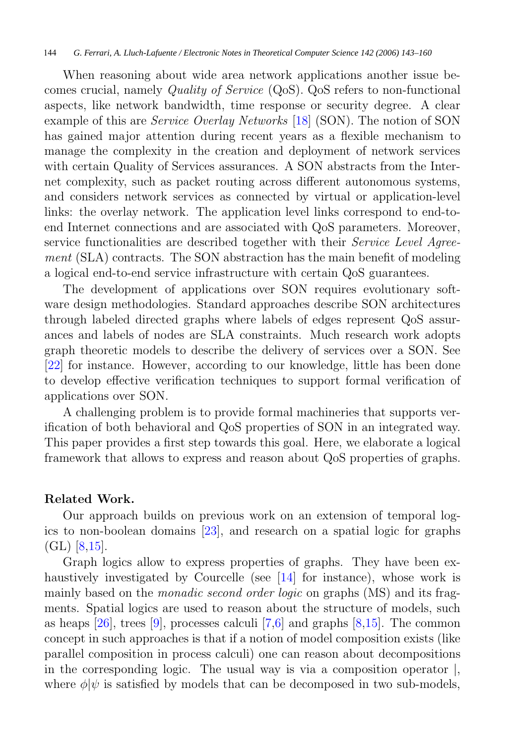When reasoning about wide area network applications another issue becomes crucial, namely Quality of Service (QoS). QoS refers to non-functional aspects, like network bandwidth, time response or security degree. A clear example of this are *Service Overlay Networks* [\[18\]](#page-17-0) (SON). The notion of SON has gained major attention during recent years as a flexible mechanism to manage the complexity in the creation and deployment of network services with certain Quality of Services assurances. A SON abstracts from the Internet complexity, such as packet routing across different autonomous systems, and considers network services as connected by virtual or application-level links: the overlay network. The application level links correspond to end-toend Internet connections and are associated with QoS parameters. Moreover, service functionalities are described together with their Service Level Agreement (SLA) contracts. The SON abstraction has the main benefit of modeling a logical end-to-end service infrastructure with certain QoS guarantees.

The development of applications over SON requires evolutionary software design methodologies. Standard approaches describe SON architectures through labeled directed graphs where labels of edges represent QoS assurances and labels of nodes are SLA constraints. Much research work adopts graph theoretic models to describe the delivery of services over a SON. See [\[22\]](#page-17-0) for instance. However, according to our knowledge, little has been done to develop effective verification techniques to support formal verification of applications over SON.

A challenging problem is to provide formal machineries that supports verification of both behavioral and QoS properties of SON in an integrated way. This paper provides a first step towards this goal. Here, we elaborate a logical framework that allows to express and reason about QoS properties of graphs.

#### **Related Work.**

Our approach builds on previous work on an extension of temporal logics to non-boolean domains [\[23\]](#page-17-0), and research on a spatial logic for graphs (GL) [\[8,15\]](#page-16-0).

Graph logics allow to express properties of graphs. They have been exhaustively investigated by Courcelle (see [\[14\]](#page-16-0) for instance), whose work is mainly based on the *monadic second order logic* on graphs (MS) and its fragments. Spatial logics are used to reason about the structure of models, such as heaps  $[26]$ , trees  $[9]$ , processes calculi  $[7,6]$  and graphs  $[8,15]$ . The common concept in such approaches is that if a notion of model composition exists (like parallel composition in process calculi) one can reason about decompositions in the corresponding logic. The usual way is via a composition operator |, where  $\phi|\psi$  is satisfied by models that can be decomposed in two sub-models,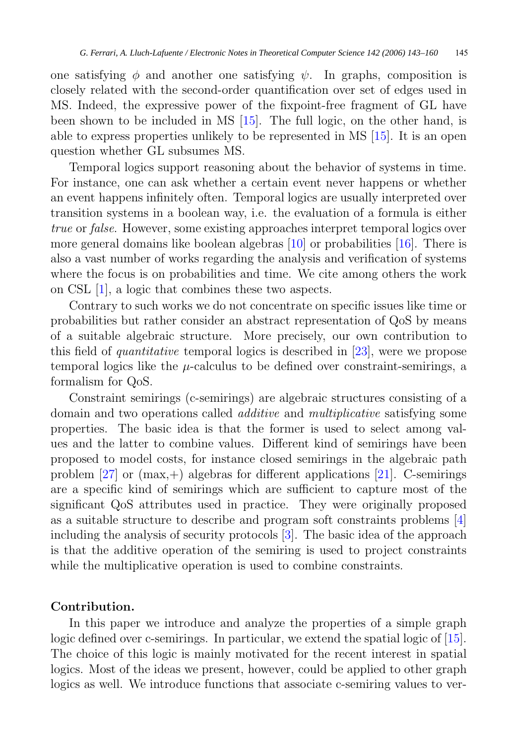one satisfying  $\phi$  and another one satisfying  $\psi$ . In graphs, composition is closely related with the second-order quantification over set of edges used in MS. Indeed, the expressive power of the fixpoint-free fragment of GL have been shown to be included in MS [\[15\]](#page-16-0). The full logic, on the other hand, is able to express properties unlikely to be represented in MS [\[15\]](#page-16-0). It is an open question whether GL subsumes MS.

Temporal logics support reasoning about the behavior of systems in time. For instance, one can ask whether a certain event never happens or whether an event happens infinitely often. Temporal logics are usually interpreted over transition systems in a boolean way, i.e. the evaluation of a formula is either true or false. However, some existing approaches interpret temporal logics over more general domains like boolean algebras  $[10]$  or probabilities  $[16]$ . There is also a vast number of works regarding the analysis and verification of systems where the focus is on probabilities and time. We cite among others the work on CSL [\[1\]](#page-16-0), a logic that combines these two aspects.

Contrary to such works we do not concentrate on specific issues like time or probabilities but rather consider an abstract representation of QoS by means of a suitable algebraic structure. More precisely, our own contribution to this field of quantitative temporal logics is described in [\[23\]](#page-17-0), were we propose temporal logics like the  $\mu$ -calculus to be defined over constraint-semirings, a formalism for QoS.

Constraint semirings (c-semirings) are algebraic structures consisting of a domain and two operations called additive and multiplicative satisfying some properties. The basic idea is that the former is used to select among values and the latter to combine values. Different kind of semirings have been proposed to model costs, for instance closed semirings in the algebraic path problem  $[27]$  or  $(max,+)$  algebras for different applications  $[21]$ . C-semirings are a specific kind of semirings which are sufficient to capture most of the significant QoS attributes used in practice. They were originally proposed as a suitable structure to describe and program soft constraints problems [\[4\]](#page-16-0) including the analysis of security protocols [\[3\]](#page-16-0). The basic idea of the approach is that the additive operation of the semiring is used to project constraints while the multiplicative operation is used to combine constraints.

#### **Contribution.**

In this paper we introduce and analyze the properties of a simple graph logic defined over c-semirings. In particular, we extend the spatial logic of [\[15\]](#page-16-0). The choice of this logic is mainly motivated for the recent interest in spatial logics. Most of the ideas we present, however, could be applied to other graph logics as well. We introduce functions that associate c-semiring values to ver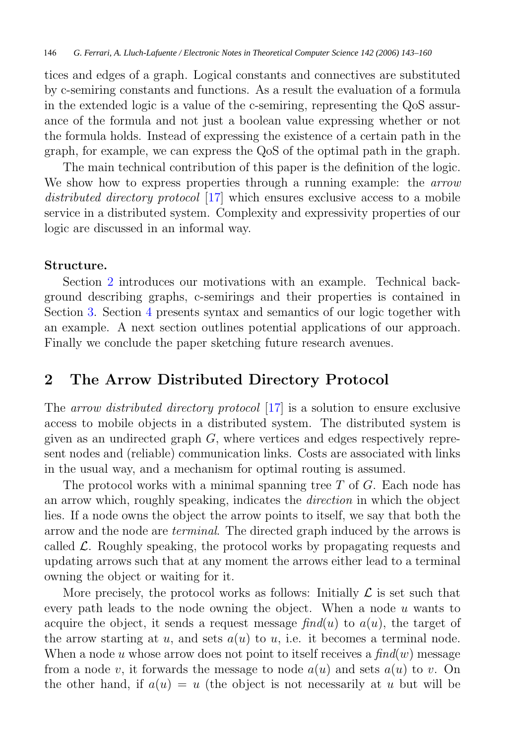tices and edges of a graph. Logical constants and connectives are substituted by c-semiring constants and functions. As a result the evaluation of a formula in the extended logic is a value of the c-semiring, representing the QoS assurance of the formula and not just a boolean value expressing whether or not the formula holds. Instead of expressing the existence of a certain path in the graph, for example, we can express the QoS of the optimal path in the graph.

The main technical contribution of this paper is the definition of the logic. We show how to express properties through a running example: the *arrow* distributed directory protocol [\[17\]](#page-16-0) which ensures exclusive access to a mobile service in a distributed system. Complexity and expressivity properties of our logic are discussed in an informal way.

#### **Structure.**

Section 2 introduces our motivations with an example. Technical background describing graphs, c-semirings and their properties is contained in Section [3.](#page-5-0) Section [4](#page-8-0) presents syntax and semantics of our logic together with an example. A next section outlines potential applications of our approach. Finally we conclude the paper sketching future research avenues.

# **2 The Arrow Distributed Directory Protocol**

The arrow distributed directory protocol [\[17\]](#page-16-0) is a solution to ensure exclusive access to mobile objects in a distributed system. The distributed system is given as an undirected graph  $G$ , where vertices and edges respectively represent nodes and (reliable) communication links. Costs are associated with links in the usual way, and a mechanism for optimal routing is assumed.

The protocol works with a minimal spanning tree  $T$  of  $G$ . Each node has an arrow which, roughly speaking, indicates the direction in which the object lies. If a node owns the object the arrow points to itself, we say that both the arrow and the node are terminal. The directed graph induced by the arrows is called  $\mathcal{L}$ . Roughly speaking, the protocol works by propagating requests and updating arrows such that at any moment the arrows either lead to a terminal owning the object or waiting for it.

More precisely, the protocol works as follows: Initially  $\mathcal L$  is set such that every path leads to the node owning the object. When a node  $u$  wants to acquire the object, it sends a request message  $\text{find}(u)$  to  $a(u)$ , the target of the arrow starting at u, and sets  $a(u)$  to u, i.e. it becomes a terminal node. When a node u whose arrow does not point to itself receives a  $find(w)$  message from a node v, it forwards the message to node  $a(u)$  and sets  $a(u)$  to v. On the other hand, if  $a(u) = u$  (the object is not necessarily at u but will be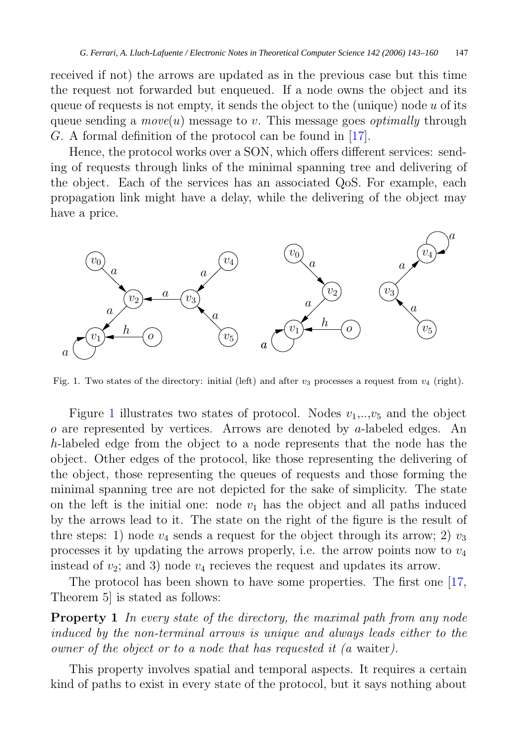<span id="page-4-0"></span>received if not) the arrows are updated as in the previous case but this time the request not forwarded but enqueued. If a node owns the object and its queue of requests is not empty, it sends the object to the (unique) node  $u$  of its queue sending a  $move(u)$  message to v. This message goes *optimally* through G. A formal definition of the protocol can be found in [\[17\]](#page-16-0).

Hence, the protocol works over a SON, which offers different services: sending of requests through links of the minimal spanning tree and delivering of the object. Each of the services has an associated QoS. For example, each propagation link might have a delay, while the delivering of the object may have a price.



Fig. 1. Two states of the directory: initial (left) and after  $v_3$  processes a request from  $v_4$  (right).

Figure 1 illustrates two states of protocol. Nodes  $v_1, \ldots, v_5$  and the object  $\sigma$  are represented by vertices. Arrows are denoted by  $\alpha$ -labeled edges. An h-labeled edge from the object to a node represents that the node has the object. Other edges of the protocol, like those representing the delivering of the object, those representing the queues of requests and those forming the minimal spanning tree are not depicted for the sake of simplicity. The state on the left is the initial one: node  $v_1$  has the object and all paths induced by the arrows lead to it. The state on the right of the figure is the result of thre steps: 1) node  $v_4$  sends a request for the object through its arrow; 2)  $v_3$ processes it by updating the arrows properly, i.e. the arrow points now to  $v_4$ instead of  $v_2$ ; and 3) node  $v_4$  recieves the request and updates its arrow.

The protocol has been shown to have some properties. The first one [\[17,](#page-16-0) Theorem 5] is stated as follows:

**Property 1** In every state of the directory, the maximal path from any node induced by the non-terminal arrows is unique and always leads either to the owner of the object or to a node that has requested it (a waiter).

This property involves spatial and temporal aspects. It requires a certain kind of paths to exist in every state of the protocol, but it says nothing about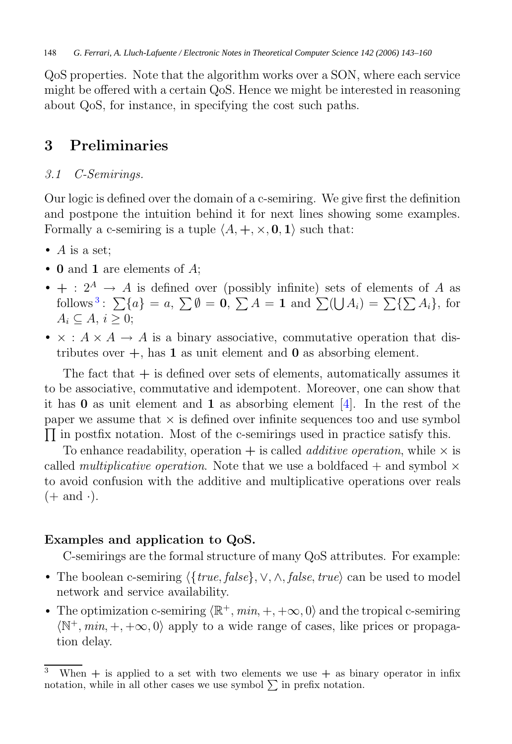<span id="page-5-0"></span>QoS properties. Note that the algorithm works over a SON, where each service might be offered with a certain QoS. Hence we might be interested in reasoning about QoS, for instance, in specifying the cost such paths.

# **3 Preliminaries**

### 3.1 C-Semirings.

Our logic is defined over the domain of a c-semiring. We give first the definition and postpone the intuition behind it for next lines showing some examples. Formally a c-semiring is a tuple  $\langle A, +, \times, \mathbf{0}, \mathbf{1} \rangle$  such that:

- A is a set:
- **0** and **1** are elements of A;
- $+ : 2^A \rightarrow A$  is defined over (possibly infinite) sets of elements of A as follows<sup>3</sup>:  $\sum\{a\} = a$ ,  $\sum \emptyset = 0$ ,  $\sum A = 1$  and  $\sum(\bigcup A_i) = \sum\{\sum A_i\}$ , for  $A_i \subseteq A, i \geq 0$ :
- $\times : A \times A \rightarrow A$  is a binary associative, commutative operation that distributes over  $+$ , has **1** as unit element and **0** as absorbing element.

The fact that  $+$  is defined over sets of elements, automatically assumes it to be associative, commutative and idempotent. Moreover, one can show that it has **0** as unit element and **1** as absorbing element [\[4\]](#page-16-0). In the rest of the paper we assume that  $\times$  is defined over infinite sequences too and use symbol  $\prod$  in postfix notation. Most of the c-semirings used in practice satisfy this.

To enhance readability, operation  $+$  is called *additive operation*, while  $\times$  is called *multiplicative operation*. Note that we use a boldfaced  $+$  and symbol  $\times$ to avoid confusion with the additive and multiplicative operations over reals  $(+$  and  $\cdot)$ .

# **Examples and application to QoS.**

C-semirings are the formal structure of many QoS attributes. For example:

- The boolean c-semiring  $\langle \{true, false\}, \vee, \wedge, false, true \rangle$  can be used to model network and service availability.
- The optimization c-semiring  $\langle \mathbb{R}^+, min, +, +\infty, 0 \rangle$  and the tropical c-semiring  $\langle \mathbb{N}^+, min, +, +\infty, 0 \rangle$  apply to a wide range of cases, like prices or propagation delay.

<sup>3</sup> When **+** is applied to a set with two elements we use **+** as binary operator in infix notation, while in all other cases we use symbol  $\Sigma$  in prefix notation.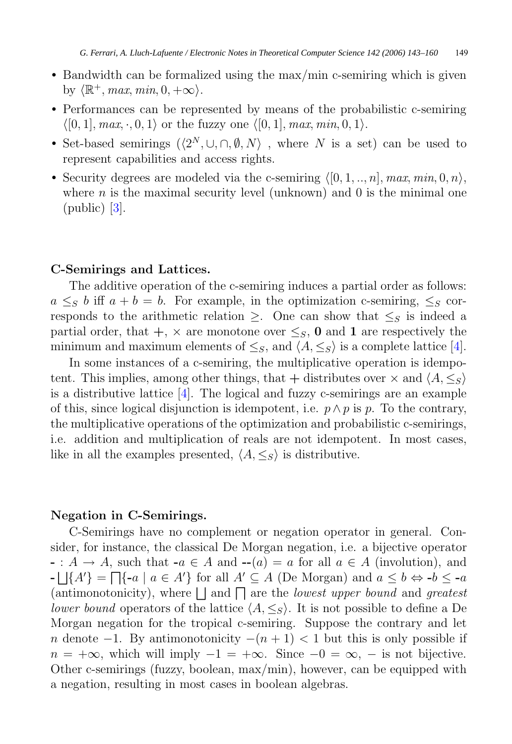- Bandwidth can be formalized using the max/min c-semiring which is given by  $\langle \mathbb{R}^+, \max, \min, 0, +\infty \rangle$ .
- Performances can be represented by means of the probabilistic c-semiring  $\langle [0, 1], \max, \cdot, 0, 1 \rangle$  or the fuzzy one  $\langle [0, 1], \max, \min, 0, 1 \rangle$ .
- Set-based semirings  $(\langle 2^N, \cup, \cap, \emptyset, N \rangle)$ , where N is a set) can be used to represent capabilities and access rights.
- Security degrees are modeled via the c-semiring  $\langle [0, 1, ..., n], \max, \min, 0, n \rangle$ , where  $n$  is the maximal security level (unknown) and  $0$  is the minimal one  $(pubble)$  [\[3\]](#page-16-0).

#### **C-Semirings and Lattices.**

The additive operation of the c-semiring induces a partial order as follows:  $a \leq_S b$  iff  $a + b = b$ . For example, in the optimization c-semiring,  $\leq_S$  corresponds to the arithmetic relation  $\geq$ . One can show that  $\leq_S$  is indeed a partial order, that  $+$ ,  $\times$  are monotone over  $\leq_S$ , **0** and **1** are respectively the minimum and maximum elements of  $\leq_S$ , and  $\langle A, \leq_S \rangle$  is a complete lattice [\[4\]](#page-16-0).

In some instances of a c-semiring, the multiplicative operation is idempotent. This implies, among other things, that  $+$  distributes over  $\times$  and  $\langle A, \leq_S \rangle$ is a distributive lattice  $[4]$ . The logical and fuzzy c-semirings are an example of this, since logical disjunction is idempotent, i.e.  $p \wedge p$  is p. To the contrary, the multiplicative operations of the optimization and probabilistic c-semirings, i.e. addition and multiplication of reals are not idempotent. In most cases, like in all the examples presented,  $\langle A, \leq_S \rangle$  is distributive.

#### **Negation in C-Semirings.**

C-Semirings have no complement or negation operator in general. Consider, for instance, the classical De Morgan negation, i.e. a bijective operator **-** : A → A, such that  $-a \in A$  and  $-a(a) = a$  for all  $a \in A$  (involution), and **-**  $\bigcup \{A'\}$  =  $\bigcap$ {-a | a ∈ A'} for all  $A' \subseteq A$  (De Morgan) and  $a \le b \Leftrightarrow b \le -a$ (antimonotonicity), where  $\vert \cdot \vert$  and  $\vert \cdot \vert$  are the *lowest upper bound* and *greatest* lower bound operators of the lattice  $\langle A, \leq_S \rangle$ . It is not possible to define a De Morgan negation for the tropical c-semiring. Suppose the contrary and let n denote −1. By antimonotonicity  $-(n + 1) < 1$  but this is only possible if  $n = +\infty$ , which will imply  $-1 = +\infty$ . Since  $-0 = \infty$ , – is not bijective. Other c-semirings (fuzzy, boolean, max/min), however, can be equipped with a negation, resulting in most cases in boolean algebras.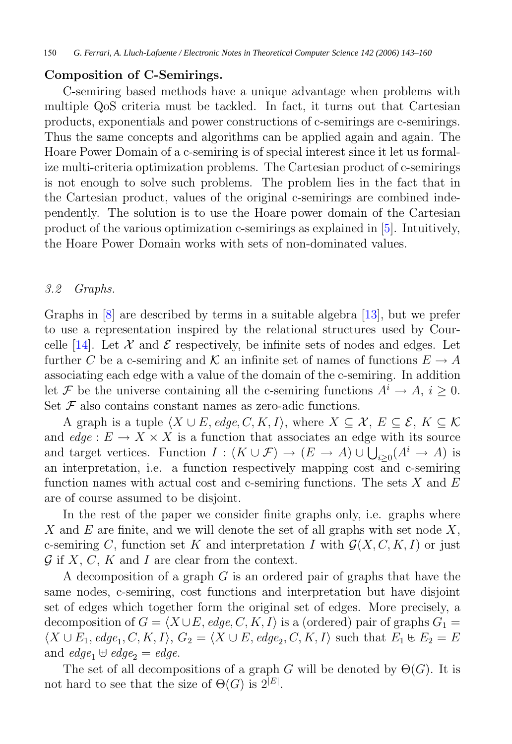#### **Composition of C-Semirings.**

C-semiring based methods have a unique advantage when problems with multiple QoS criteria must be tackled. In fact, it turns out that Cartesian products, exponentials and power constructions of c-semirings are c-semirings. Thus the same concepts and algorithms can be applied again and again. The Hoare Power Domain of a c-semiring is of special interest since it let us formalize multi-criteria optimization problems. The Cartesian product of c-semirings is not enough to solve such problems. The problem lies in the fact that in the Cartesian product, values of the original c-semirings are combined independently. The solution is to use the Hoare power domain of the Cartesian product of the various optimization c-semirings as explained in [\[5\]](#page-16-0). Intuitively, the Hoare Power Domain works with sets of non-dominated values.

#### 3.2 Graphs.

Graphs in  $|8|$  are described by terms in a suitable algebra  $|13|$ , but we prefer to use a representation inspired by the relational structures used by Cour-celle [\[14\]](#page-16-0). Let  $\mathcal X$  and  $\mathcal E$  respectively, be infinite sets of nodes and edges. Let further C be a c-semiring and K an infinite set of names of functions  $E \to A$ associating each edge with a value of the domain of the c-semiring. In addition let F be the universe containing all the c-semiring functions  $A^i \to A$ ,  $i \geq 0$ . Set  $\mathcal F$  also contains constant names as zero-adic functions.

A graph is a tuple  $\langle X \cup E, \text{edge}, C, K, I \rangle$ , where  $X \subseteq \mathcal{X}, E \subseteq \mathcal{E}, K \subseteq \mathcal{K}$ and  $edge: E \to X \times X$  is a function that associates an edge with its source and target vertices. Function  $I : (K \cup \mathcal{F}) \to (E \to A) \cup \bigcup_{i \geq 0} (A^i \to A)$  is an interpretation, i.e. a function respectively mapping cost and c-semiring function names with actual cost and c-semiring functions. The sets  $X$  and  $E$ are of course assumed to be disjoint.

In the rest of the paper we consider finite graphs only, i.e. graphs where X and E are finite, and we will denote the set of all graphs with set node  $X$ , c-semiring C, function set K and interpretation I with  $\mathcal{G}(X, C, K, I)$  or just  $\mathcal G$  if X, C, K and I are clear from the context.

A decomposition of a graph G is an ordered pair of graphs that have the same nodes, c-semiring, cost functions and interpretation but have disjoint set of edges which together form the original set of edges. More precisely, a decomposition of  $G = \langle X \cup E, edge, C, K, I \rangle$  is a (ordered) pair of graphs  $G_1 =$  $\langle X \cup E_1, \text{edge}_1, C, K, I \rangle, G_2 = \langle X \cup E, \text{edge}_2, C, K, I \rangle \text{ such that } E_1 \cup E_2 = E$ and  $edge_1 \oplus edge_2 = edge.$ 

The set of all decompositions of a graph G will be denoted by  $\Theta(G)$ . It is not hard to see that the size of  $\Theta(G)$  is  $2^{|E|}$ .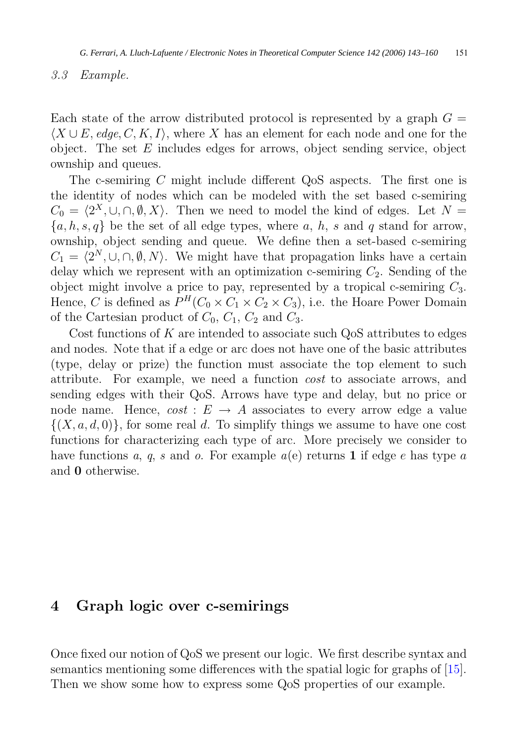#### <span id="page-8-0"></span>3.3 Example.

Each state of the arrow distributed protocol is represented by a graph  $G =$  $\langle X \cup E, \text{edge}, C, K, I \rangle$ , where X has an element for each node and one for the object. The set  $E$  includes edges for arrows, object sending service, object ownship and queues.

The c-semiring C might include different QoS aspects. The first one is the identity of nodes which can be modeled with the set based c-semiring  $C_0 = \langle 2^X, \cup, \cap, \emptyset, X \rangle$ . Then we need to model the kind of edges. Let  $N =$  ${a, h, s, q}$  be the set of all edge types, where a, h, s and q stand for arrow, ownship, object sending and queue. We define then a set-based c-semiring  $C_1 = \langle 2^N, \cup, \cap, \emptyset, N \rangle$ . We might have that propagation links have a certain delay which we represent with an optimization c-semiring  $C_2$ . Sending of the object might involve a price to pay, represented by a tropical c-semiring  $C_3$ . Hence, C is defined as  $P^H(C_0 \times C_1 \times C_2 \times C_3)$ , i.e. the Hoare Power Domain of the Cartesian product of  $C_0$ ,  $C_1$ ,  $C_2$  and  $C_3$ .

Cost functions of  $K$  are intended to associate such  $Q$ oS attributes to edges and nodes. Note that if a edge or arc does not have one of the basic attributes (type, delay or prize) the function must associate the top element to such attribute. For example, we need a function cost to associate arrows, and sending edges with their QoS. Arrows have type and delay, but no price or node name. Hence,  $cost : E \rightarrow A$  associates to every arrow edge a value  $\{(X, a, d, 0)\}\,$  for some real d. To simplify things we assume to have one cost functions for characterizing each type of arc. More precisely we consider to have functions a, q, s and o. For example  $a(e)$  returns **1** if edge e has type a and **0** otherwise.

# **4 Graph logic over c-semirings**

Once fixed our notion of QoS we present our logic. We first describe syntax and semantics mentioning some differences with the spatial logic for graphs of  $[15]$ . Then we show some how to express some QoS properties of our example.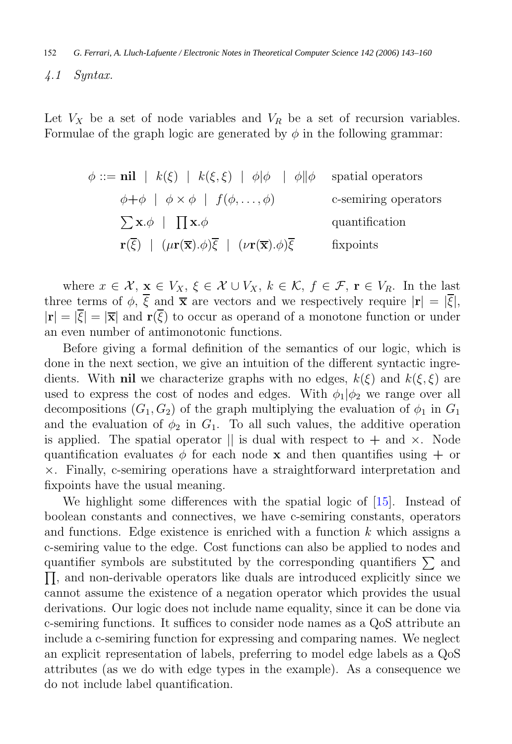4.1 Syntax.

Let  $V_X$  be a set of node variables and  $V_R$  be a set of recursion variables. Formulae of the graph logic are generated by  $\phi$  in the following grammar:

$$
\phi ::= \mathbf{nil} \mid k(\xi) \mid k(\xi, \xi) \mid \phi | \phi \mid \phi \| \phi \quad \text{spatial operators}
$$
\n
$$
\phi + \phi \mid \phi \times \phi \mid f(\phi, ..., \phi) \quad \text{c-semiring operators}
$$
\n
$$
\sum \mathbf{x}.\phi \mid \prod \mathbf{x}.\phi \quad \text{quantification}
$$
\n
$$
\mathbf{r}(\overline{\xi}) \mid (\mu \mathbf{r}(\overline{\mathbf{x}}).\phi)\overline{\xi} \mid (\nu \mathbf{r}(\overline{\mathbf{x}}).\phi)\overline{\xi} \quad \text{fixpoints}
$$

where  $x \in \mathcal{X}$ ,  $\mathbf{x} \in V_X$ ,  $\xi \in \mathcal{X} \cup V_X$ ,  $k \in \mathcal{K}$ ,  $f \in \mathcal{F}$ ,  $\mathbf{r} \in V_R$ . In the last three terms of  $\phi$ ,  $\overline{\xi}$  and  $\overline{\mathbf{x}}$  are vectors and we respectively require  $|\mathbf{r}| = |\overline{\xi}|$ ,  $|\mathbf{r}| = |\overline{\xi}| = |\overline{\mathbf{x}}|$  and  $\mathbf{r}(\overline{\xi})$  to occur as operand of a monotone function or under an even number of antimonotonic functions.

Before giving a formal definition of the semantics of our logic, which is done in the next section, we give an intuition of the different syntactic ingredients. With **nil** we characterize graphs with no edges,  $k(\xi)$  and  $k(\xi, \xi)$  are used to express the cost of nodes and edges. With  $\phi_1|\phi_2$  we range over all decompositions  $(G_1, G_2)$  of the graph multiplying the evaluation of  $\phi_1$  in  $G_1$ and the evaluation of  $\phi_2$  in  $G_1$ . To all such values, the additive operation is applied. The spatial operator  $\parallel$  is dual with respect to  $+$  and  $\times$ . Node quantification evaluates  $\phi$  for each node **x** and then quantifies using  $+$  or ×. Finally, c-semiring operations have a straightforward interpretation and fixpoints have the usual meaning.

We highlight some differences with the spatial logic of  $[15]$ . Instead of boolean constants and connectives, we have c-semiring constants, operators and functions. Edge existence is enriched with a function  $k$  which assigns a c-semiring value to the edge. Cost functions can also be applied to nodes and quantifier symbols are substituted by the corresponding quantifiers  $\sum$  and , and non-derivable operators like duals are introduced explicitly since we cannot assume the existence of a negation operator which provides the usual derivations. Our logic does not include name equality, since it can be done via c-semiring functions. It suffices to consider node names as a QoS attribute an include a c-semiring function for expressing and comparing names. We neglect an explicit representation of labels, preferring to model edge labels as a QoS attributes (as we do with edge types in the example). As a consequence we do not include label quantification.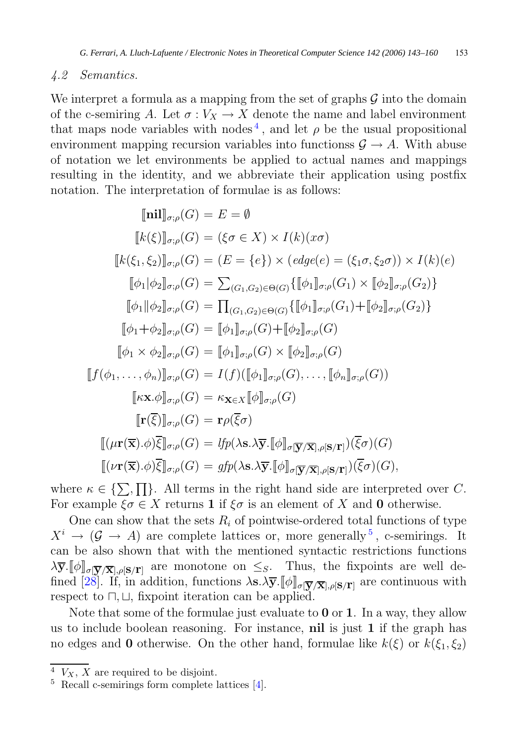#### 4.2 Semantics.

We interpret a formula as a mapping from the set of graphs  $\mathcal G$  into the domain of the c-semiring A. Let  $\sigma: V_X \to X$  denote the name and label environment that maps node variables with nodes<sup>4</sup>, and let  $\rho$  be the usual propositional environment mapping recursion variables into functionss  $\mathcal{G} \to A$ . With abuse of notation we let environments be applied to actual names and mappings resulting in the identity, and we abbreviate their application using postfix notation. The interpretation of formulae is as follows:

$$
\llbracket \textbf{nil} \rrbracket_{\sigma;\rho}(G) = E = \emptyset
$$
\n
$$
\llbracket k(\xi) \rrbracket_{\sigma;\rho}(G) = (\xi \sigma \in X) \times I(k)(x\sigma)
$$
\n
$$
\llbracket k(\xi_1, \xi_2) \rrbracket_{\sigma;\rho}(G) = (E = \{e\}) \times (edge(e) = (\xi_1 \sigma, \xi_2 \sigma)) \times I(k)(e)
$$
\n
$$
\llbracket \phi_1 | \phi_2 \rrbracket_{\sigma;\rho}(G) = \sum_{(G_1, G_2) \in \Theta(G)} \{\llbracket \phi_1 \rrbracket_{\sigma;\rho}(G_1) \times \llbracket \phi_2 \rrbracket_{\sigma;\rho}(G_2)\}
$$
\n
$$
\llbracket \phi_1 | \phi_2 \rrbracket_{\sigma;\rho}(G) = \prod_{(G_1, G_2) \in \Theta(G)} \{\llbracket \phi_1 \rrbracket_{\sigma;\rho}(G_1) + \llbracket \phi_2 \rrbracket_{\sigma;\rho}(G_2)\}
$$
\n
$$
\llbracket \phi_1 + \phi_2 \rrbracket_{\sigma;\rho}(G) = \llbracket \phi_1 \rrbracket_{\sigma;\rho}(G) + \llbracket \phi_2 \rrbracket_{\sigma;\rho}(G)
$$
\n
$$
\llbracket f(\phi_1, \dots, \phi_n) \rrbracket_{\sigma;\rho}(G) = I(f) (\llbracket \phi_1 \rrbracket_{\sigma;\rho}(G), \dots, \llbracket \phi_n \rrbracket_{\sigma;\rho}(G))
$$
\n
$$
\llbracket \kappa \mathbf{x} \cdot \phi \rrbracket_{\sigma;\rho}(G) = \kappa_{\mathbf{X} \in X} \llbracket \phi \rrbracket_{\sigma;\rho}(G)
$$
\n
$$
\llbracket \mathbf{r}(\overline{\xi}) \rrbracket_{\sigma;\rho}(G) = \mathbf{r} \rho(\overline{\xi} \sigma)
$$
\n
$$
\llbracket (\mu \mathbf{r}(\overline{\mathbf{x}}) \cdot \phi) \overline{\xi} \rrbracket_{\sigma;\rho}(G) = lfp(\lambda \mathbf{s} \cdot \lambda \overline{\mathbf{y}} \cdot \llbracket \phi \rrbracket_{\sigma(\overline{\mathbf{y}} \cdot \overline{\mathbf{x}}) \cdot \rho(\overline{\mathbf{s}} \cdot \mathbf{r}) \cdot
$$

where  $\kappa \in \{\sum,\prod\}$ . All terms in the right hand side are interpreted over C. For example  $\xi \sigma \in X$  returns **1** if  $\xi \sigma$  is an element of X and **0** otherwise.

One can show that the sets  $R_i$  of pointwise-ordered total functions of type  $X^i \to (\mathcal{G} \to A)$  are complete lattices or, more generally <sup>5</sup>, c-semirings. It can be also shown that with the mentioned syntactic restrictions functions  $\lambda \overline{\mathbf{y}}$ .  $[\![\phi]\!]_{\sigma[\overline{\mathbf{y}}/\overline{\mathbf{X}}],\rho[\mathbf{S}/\mathbf{r}]}$  are monotone on  $\leq_S$ . Thus, the fixpoints are well de-fined [\[28\]](#page-17-0). If, in addition, functions  $\lambda$ **s**.  $\lambda \bar{\mathbf{y}}$ . [ $\phi$ ]<sub> $\sigma$ </sub>[ $\bar{\mathbf{y}}$ /**x**], $\rho$ [**s**/**r**] are continuous with respect to  $\sqcap, \sqcup$ , fixpoint iteration can be applied.

Note that some of the formulae just evaluate to **0** or **1**. In a way, they allow us to include boolean reasoning. For instance, **nil** is just **1** if the graph has no edges and **0** otherwise. On the other hand, formulae like  $k(\xi)$  or  $k(\xi_1, \xi_2)$ 

 $4$   $V_X$ , X are required to be disjoint.

<sup>5</sup> Recall c-semirings form complete lattices [\[4\]](#page-16-0).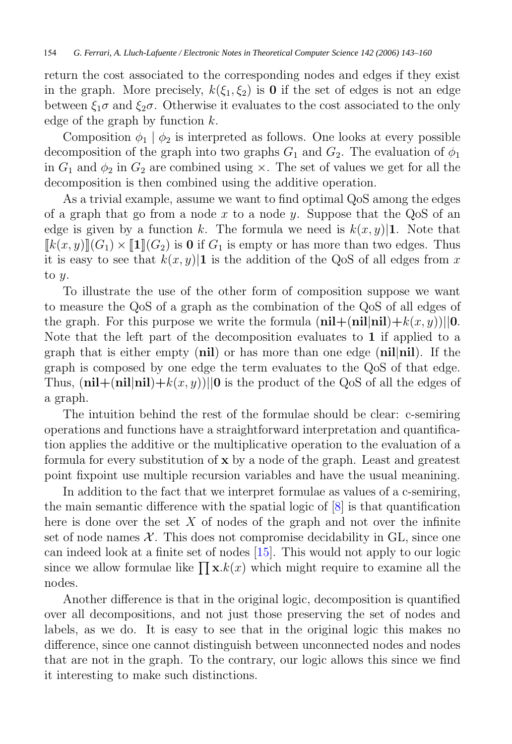return the cost associated to the corresponding nodes and edges if they exist in the graph. More precisely,  $k(\xi_1, \xi_2)$  is **0** if the set of edges is not an edge between  $\xi_1\sigma$  and  $\xi_2\sigma$ . Otherwise it evaluates to the cost associated to the only edge of the graph by function  $k$ .

Composition  $\phi_1 | \phi_2$  is interpreted as follows. One looks at every possible decomposition of the graph into two graphs  $G_1$  and  $G_2$ . The evaluation of  $\phi_1$ in  $G_1$  and  $\phi_2$  in  $G_2$  are combined using  $\times$ . The set of values we get for all the decomposition is then combined using the additive operation.

As a trivial example, assume we want to find optimal QoS among the edges of a graph that go from a node x to a node y. Suppose that the QoS of an edge is given by a function k. The formula we need is  $k(x, y)$ **1**. Note that  $\llbracket k(x, y) \rrbracket(G_1) \times \llbracket 1 \rrbracket(G_2)$  is **0** if  $G_1$  is empty or has more than two edges. Thus it is easy to see that  $k(x, y)$  **1** is the addition of the QoS of all edges from x to y.

To illustrate the use of the other form of composition suppose we want to measure the QoS of a graph as the combination of the QoS of all edges of the graph. For this purpose we write the formula  $(\textbf{nil}+(\textbf{nil}|\textbf{nil})+k(x,y))||0$ . Note that the left part of the decomposition evaluates to **1** if applied to a graph that is either empty (**nil**) or has more than one edge (**nil**|**nil**). If the graph is composed by one edge the term evaluates to the QoS of that edge. Thus,  $(\textbf{nil}+(\textbf{nil}|\textbf{nil})+k(x,y))||\textbf{0}$  is the product of the QoS of all the edges of a graph.

The intuition behind the rest of the formulae should be clear: c-semiring operations and functions have a straightforward interpretation and quantification applies the additive or the multiplicative operation to the evaluation of a formula for every substitution of **x** by a node of the graph. Least and greatest point fixpoint use multiple recursion variables and have the usual meanining.

In addition to the fact that we interpret formulae as values of a c-semiring, the main semantic difference with the spatial logic of  $[8]$  is that quantification here is done over the set  $X$  of nodes of the graph and not over the infinite set of node names  $\mathcal{X}$ . This does not compromise decidability in GL, since one can indeed look at a finite set of nodes [\[15\]](#page-16-0). This would not apply to our logic since we allow formulae like  $\prod x.k(x)$  which might require to examine all the nodes.

Another difference is that in the original logic, decomposition is quantified over all decompositions, and not just those preserving the set of nodes and labels, as we do. It is easy to see that in the original logic this makes no difference, since one cannot distinguish between unconnected nodes and nodes that are not in the graph. To the contrary, our logic allows this since we find it interesting to make such distinctions.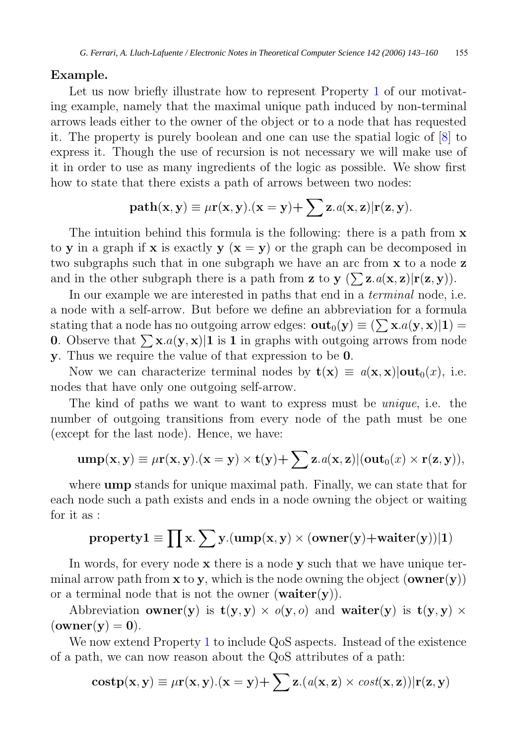#### **Example.**

Let us now briefly illustrate how to represent Property [1](#page-4-0) of our motivating example, namely that the maximal unique path induced by non-terminal arrows leads either to the owner of the object or to a node that has requested it. The property is purely boolean and one can use the spatial logic of [\[8\]](#page-16-0) to express it. Though the use of recursion is not necessary we will make use of it in order to use as many ingredients of the logic as possible. We show first how to state that there exists a path of arrows between two nodes:

$$
path(x, y) \equiv \mu r(x, y) . (x = y) + \sum z . a(x, z) | r(z, y).
$$

The intuition behind this formula is the following: there is a path from **x** to **y** in a graph if **x** is exactly **y**  $(x = y)$  or the graph can be decomposed in two subgraphs such that in one subgraph we have an arc from **x** to a node **z** and in the other subgraph there is a path from **z** to **y**  $(\sum \mathbf{z}.a(\mathbf{x}, \mathbf{z})|\mathbf{r}(\mathbf{z}, \mathbf{y}))$ .

In our example we are interested in paths that end in a *terminal* node, i.e. a node with a self-arrow. But before we define an abbreviation for a formula stating that a node has no outgoing arrow edges:  $out_0(y) \equiv (\sum x.a(y, x)|1)$ **0**. Observe that  $\sum x \cdot a(y, x)$  **1** is **1** in graphs with outgoing arrows from node **y**. Thus we require the value of that expression to be **0**.

Now we can characterize terminal nodes by  $\mathbf{t}(\mathbf{x}) \equiv a(\mathbf{x}, \mathbf{x}) | \mathbf{out}_0(x)$ , i.e. nodes that have only one outgoing self-arrow.

The kind of paths we want to want to express must be unique, i.e. the number of outgoing transitions from every node of the path must be one (except for the last node). Hence, we have:

$$
ump(x, y) \equiv \mu r(x, y) . (x = y) \times t(y) + \sum z . a(x, z) |(out_0(x) \times r(z, y)),
$$

where **ump** stands for unique maximal path. Finally, we can state that for each node such a path exists and ends in a node owning the object or waiting for it as :

$$
property1 \equiv \prod x. \sum y. (ump(x,y) \times (owner(y) + waiter(y)) | 1)
$$

In words, for every node **x** there is a node **y** such that we have unique terminal arrow path from  $\mathbf x$  to  $\mathbf y$ , which is the node owning the object  $(\mathbf{owner}(\mathbf y))$ or a terminal node that is not the owner  $(\text{water}(y))$ .

Abbreviation **owner**(**y**) is  $t(y, y) \times o(y, o)$  and **waiter**(**y**) is  $t(y, y) \times o(y, o)$  $($ **owner** $(y) = 0).$ 

We now extend Property [1](#page-4-0) to include QoS aspects. Instead of the existence of a path, we can now reason about the QoS attributes of a path:

$$
costp(x, y) \equiv \mu r(x, y) . (x = y) + \sum z . (a(x, z) \times cost(x, z)) | r(z, y)
$$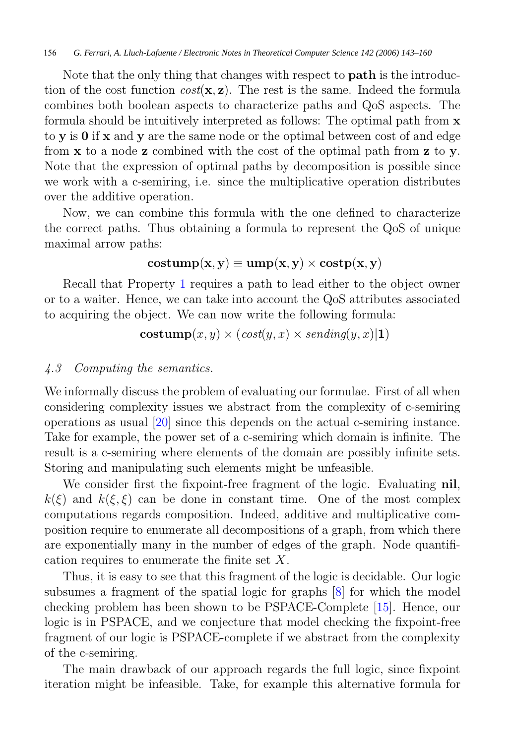Note that the only thing that changes with respect to **path** is the introduction of the cost function  $cost(\mathbf{x}, \mathbf{z})$ . The rest is the same. Indeed the formula combines both boolean aspects to characterize paths and QoS aspects. The formula should be intuitively interpreted as follows: The optimal path from **x** to **y** is **0** if **x** and **y** are the same node or the optimal between cost of and edge from **x** to a node **z** combined with the cost of the optimal path from **z** to **y**. Note that the expression of optimal paths by decomposition is possible since we work with a c-semiring, i.e. since the multiplicative operation distributes over the additive operation.

Now, we can combine this formula with the one defined to characterize the correct paths. Thus obtaining a formula to represent the QoS of unique maximal arrow paths:

### $\textbf{costump}(\mathbf{x}, \mathbf{y}) \equiv \textbf{ump}(\mathbf{x}, \mathbf{y}) \times \textbf{costp}(\mathbf{x}, \mathbf{y})$

Recall that Property [1](#page-4-0) requires a path to lead either to the object owner or to a waiter. Hence, we can take into account the QoS attributes associated to acquiring the object. We can now write the following formula:

**costump** $(x, y) \times (cost(y, x) \times sending(y, x) | 1)$ 

### 4.3 Computing the semantics.

We informally discuss the problem of evaluating our formulae. First of all when considering complexity issues we abstract from the complexity of c-semiring operations as usual [\[20\]](#page-17-0) since this depends on the actual c-semiring instance. Take for example, the power set of a c-semiring which domain is infinite. The result is a c-semiring where elements of the domain are possibly infinite sets. Storing and manipulating such elements might be unfeasible.

We consider first the fixpoint-free fragment of the logic. Evaluating **nil**,  $k(\xi)$  and  $k(\xi, \xi)$  can be done in constant time. One of the most complex computations regards composition. Indeed, additive and multiplicative composition require to enumerate all decompositions of a graph, from which there are exponentially many in the number of edges of the graph. Node quantification requires to enumerate the finite set X.

Thus, it is easy to see that this fragment of the logic is decidable. Our logic subsumes a fragment of the spatial logic for graphs [\[8\]](#page-16-0) for which the model checking problem has been shown to be PSPACE-Complete [\[15\]](#page-16-0). Hence, our logic is in PSPACE, and we conjecture that model checking the fixpoint-free fragment of our logic is PSPACE-complete if we abstract from the complexity of the c-semiring.

The main drawback of our approach regards the full logic, since fixpoint iteration might be infeasible. Take, for example this alternative formula for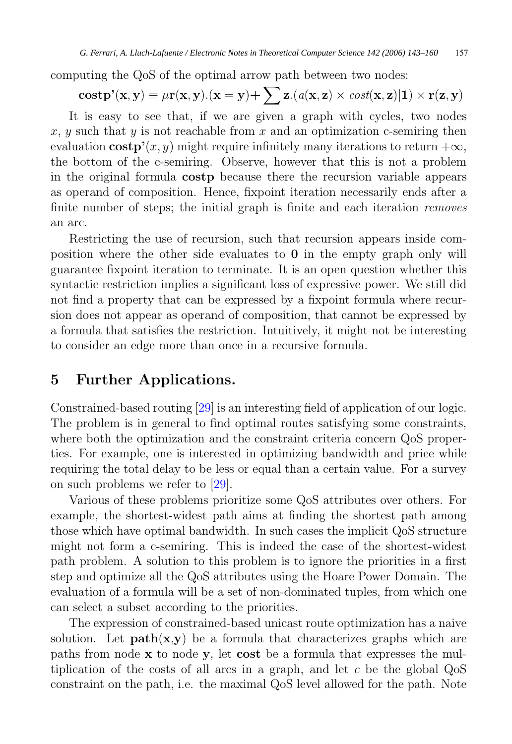computing the QoS of the optimal arrow path between two nodes:

$$
\mathbf{costp'}(\mathbf{x}, \mathbf{y}) \equiv \mu \mathbf{r}(\mathbf{x}, \mathbf{y}).(\mathbf{x} = \mathbf{y}) + \sum \mathbf{z}.(a(\mathbf{x}, \mathbf{z}) \times \text{cost}(\mathbf{x}, \mathbf{z}) | \mathbf{1}) \times \mathbf{r}(\mathbf{z}, \mathbf{y})
$$

It is easy to see that, if we are given a graph with cycles, two nodes  $x, y$  such that y is not reachable from x and an optimization c-semiring then evaluation  $\cosh(y', y)$  might require infinitely many iterations to return  $+\infty$ , the bottom of the c-semiring. Observe, however that this is not a problem in the original formula **costp** because there the recursion variable appears as operand of composition. Hence, fixpoint iteration necessarily ends after a finite number of steps; the initial graph is finite and each iteration *removes* an arc.

Restricting the use of recursion, such that recursion appears inside composition where the other side evaluates to **0** in the empty graph only will guarantee fixpoint iteration to terminate. It is an open question whether this syntactic restriction implies a significant loss of expressive power. We still did not find a property that can be expressed by a fixpoint formula where recursion does not appear as operand of composition, that cannot be expressed by a formula that satisfies the restriction. Intuitively, it might not be interesting to consider an edge more than once in a recursive formula.

# **5 Further Applications.**

Constrained-based routing [\[29\]](#page-17-0) is an interesting field of application of our logic. The problem is in general to find optimal routes satisfying some constraints, where both the optimization and the constraint criteria concern QoS properties. For example, one is interested in optimizing bandwidth and price while requiring the total delay to be less or equal than a certain value. For a survey on such problems we refer to [\[29\]](#page-17-0).

Various of these problems prioritize some QoS attributes over others. For example, the shortest-widest path aims at finding the shortest path among those which have optimal bandwidth. In such cases the implicit QoS structure might not form a c-semiring. This is indeed the case of the shortest-widest path problem. A solution to this problem is to ignore the priorities in a first step and optimize all the QoS attributes using the Hoare Power Domain. The evaluation of a formula will be a set of non-dominated tuples, from which one can select a subset according to the priorities.

The expression of constrained-based unicast route optimization has a naive solution. Let  $\textbf{path}(\mathbf{x}, \mathbf{y})$  be a formula that characterizes graphs which are paths from node **x** to node **y**, let **cost** be a formula that expresses the multiplication of the costs of all arcs in a graph, and let  $c$  be the global  $Q_0S$ constraint on the path, i.e. the maximal QoS level allowed for the path. Note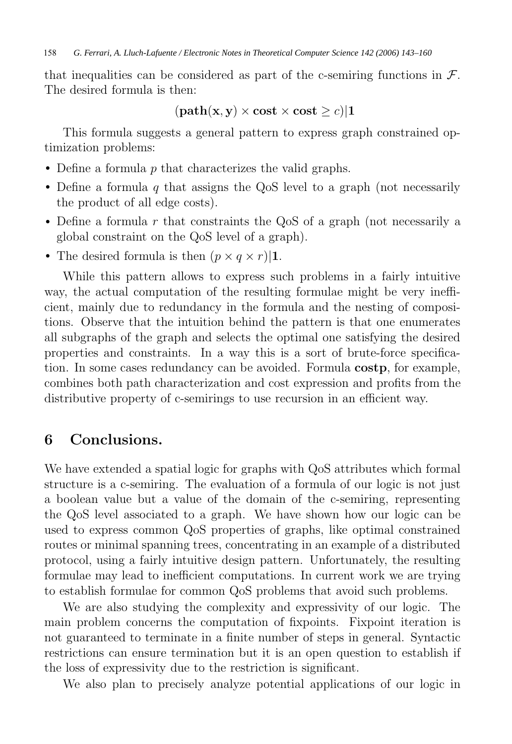that inequalities can be considered as part of the c-semiring functions in  $\mathcal{F}$ . The desired formula is then:

$$
(\mathbf{path}(\mathbf{x}, \mathbf{y}) \times \mathbf{cost} \times \mathbf{cost} \ge c)|\mathbf{1}
$$

This formula suggests a general pattern to express graph constrained optimization problems:

- Define a formula p that characterizes the valid graphs.
- Define a formula q that assigns the QoS level to a graph (not necessarily the product of all edge costs).
- Define a formula r that constraints the QoS of a graph (not necessarily a global constraint on the QoS level of a graph).
- The desired formula is then  $(p \times q \times r)|1$ .

While this pattern allows to express such problems in a fairly intuitive way, the actual computation of the resulting formulae might be very inefficient, mainly due to redundancy in the formula and the nesting of compositions. Observe that the intuition behind the pattern is that one enumerates all subgraphs of the graph and selects the optimal one satisfying the desired properties and constraints. In a way this is a sort of brute-force specification. In some cases redundancy can be avoided. Formula **costp**, for example, combines both path characterization and cost expression and profits from the distributive property of c-semirings to use recursion in an efficient way.

# **6 Conclusions.**

We have extended a spatial logic for graphs with QoS attributes which formal structure is a c-semiring. The evaluation of a formula of our logic is not just a boolean value but a value of the domain of the c-semiring, representing the QoS level associated to a graph. We have shown how our logic can be used to express common QoS properties of graphs, like optimal constrained routes or minimal spanning trees, concentrating in an example of a distributed protocol, using a fairly intuitive design pattern. Unfortunately, the resulting formulae may lead to inefficient computations. In current work we are trying to establish formulae for common QoS problems that avoid such problems.

We are also studying the complexity and expressivity of our logic. The main problem concerns the computation of fixpoints. Fixpoint iteration is not guaranteed to terminate in a finite number of steps in general. Syntactic restrictions can ensure termination but it is an open question to establish if the loss of expressivity due to the restriction is significant.

We also plan to precisely analyze potential applications of our logic in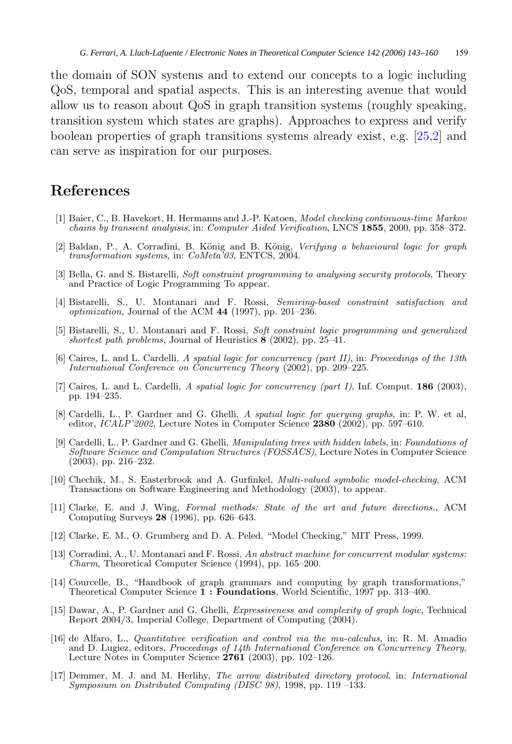<span id="page-16-0"></span>the domain of SON systems and to extend our concepts to a logic including QoS, temporal and spatial aspects. This is an interesting avenue that would allow us to reason about QoS in graph transition systems (roughly speaking, transition system which states are graphs). Approaches to express and verify boolean properties of graph transitions systems already exist, e.g. [\[25,](#page-17-0)2] and can serve as inspiration for our purposes.

# **References**

- [1] Baier, C., B. Havekort, H. Hermanns and J.-P. Katoen, Model checking continuous-time Markov chains by transient analyisis, in: Computer Aided Verification, LNCS **1855**, 2000, pp. 358–372.
- [2] Baldan, P., A. Corradini, B. König and B. König, Verifying a behavioural logic for graph transformation systems, in: CoMeta'03, ENTCS, 2004.
- [3] Bella, G. and S. Bistarelli, Soft constraint programming to analysing security protocols, Theory and Practice of Logic Programming To appear.
- [4] Bistarelli, S., U. Montanari and F. Rossi, Semiring-based constraint satisfaction and optimization, Journal of the ACM **44** (1997), pp. 201–236.
- [5] Bistarelli, S., U. Montanari and F. Rossi, Soft constraint logic programming and generalized shortest path problems, Journal of Heuristics **8** (2002), pp. 25–41.
- [6] Caires, L. and L. Cardelli, A spatial logic for concurrency (part II), in: Proceedings of the 13th International Conference on Concurrency Theory (2002), pp. 209–225.
- [7] Caires, L. and L. Cardelli, A spatial logic for concurrency (part I), Inf. Comput. **186** (2003), pp. 194–235.
- [8] Cardelli, L., P. Gardner and G. Ghelli, A spatial logic for querying graphs, in: P. W. et al, editor, ICALP'2002, Lecture Notes in Computer Science **2380** (2002), pp. 597–610.
- [9] Cardelli, L., P. Gardner and G. Ghelli, Manipulating trees with hidden labels, in: Foundations of Software Science and Computation Structures (FOSSACS), Lecture Notes in Computer Science (2003), pp. 216–232.
- [10] Chechik, M., S. Easterbrook and A. Gurfinkel, Multi-valued symbolic model-checking, ACM Transactions on Software Engineering and Methodology (2003), to appear.
- [11] Clarke, E. and J. Wing, Formal methods: State of the art and future directions., ACM Computing Surveys **28** (1996), pp. 626–643.
- [12] Clarke, E. M., O. Grumberg and D. A. Peled, "Model Checking," MIT Press, 1999.
- [13] Corradini, A., U. Montanari and F. Rossi, An abstract machine for concurrent modular systems: Charm, Theoretical Computer Science (1994), pp. 165–200.
- [14] Courcelle, B., "Handbook of graph grammars and computing by graph transformations," Theoretical Computer Science **1 : Foundations**, World Scientific, 1997 pp. 313–400.
- [15] Dawar, A., P. Gardner and G. Ghelli, Expressiveness and complexity of graph logic, Technical Report 2004/3, Imperial College, Department of Computing (2004).
- [16] de Alfaro, L., Quantitative verification and control via the mu-calculus, in: R. M. Amadio and D. Lugiez, editors, Proceedings of 14th International Conference on Concurrency Theory, Lecture Notes in Computer Science **2761** (2003), pp. 102–126.
- [17] Demmer, M. J. and M. Herlihy, The arrow distributed directory protocol, in: International Symposium on Distributed Computing (DISC 98), 1998, pp. 119 –133.